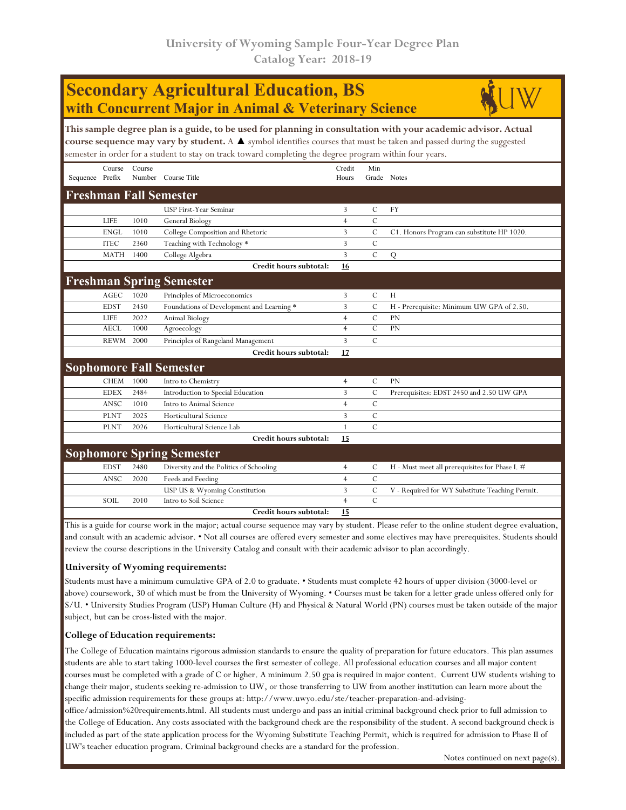## **Secondary Agricultural Education, BS with Concurrent Major in Animal & Veterinary Science**



**This sample degree plan is a guide, to be used for planning in consultation with your academic advisor. Actual course sequence may vary by student.** A ▲ symbol identifies courses that must be taken and passed during the suggested semester in order for a student to stay on track toward completing the degree program within four years.

|                                 | Course                | Course |                                           | Credit         | Min           |                                                 |  |  |  |
|---------------------------------|-----------------------|--------|-------------------------------------------|----------------|---------------|-------------------------------------------------|--|--|--|
| Sequence Prefix                 |                       | Number | Course Title                              | Hours          | Grade Notes   |                                                 |  |  |  |
| <b>Freshman Fall Semester</b>   |                       |        |                                           |                |               |                                                 |  |  |  |
|                                 |                       |        | USP First-Year Seminar                    | 3              | C             | <b>FY</b>                                       |  |  |  |
|                                 | <b>LIFE</b>           | 1010   | General Biology                           | $\overline{4}$ | $\mathcal{C}$ |                                                 |  |  |  |
|                                 | <b>ENGL</b>           | 1010   | College Composition and Rhetoric          | 3              | $\mathcal{C}$ | C1. Honors Program can substitute HP 1020.      |  |  |  |
|                                 | <b>ITEC</b>           | 2360   | Teaching with Technology *                | 3              | $\mathcal{C}$ |                                                 |  |  |  |
|                                 | <b>MATH</b>           | 1400   | College Algebra                           | 3              | $\mathcal{C}$ | Q                                               |  |  |  |
|                                 |                       |        | Credit hours subtotal:                    | 16             |               |                                                 |  |  |  |
| <b>Freshman Spring Semester</b> |                       |        |                                           |                |               |                                                 |  |  |  |
|                                 | $\operatorname{AGEC}$ | 1020   | Principles of Microeconomics              | 3              | $\mathcal{C}$ | H                                               |  |  |  |
|                                 | <b>EDST</b>           | 2450   | Foundations of Development and Learning * | 3              | C             | H - Prerequisite: Minimum UW GPA of 2.50.       |  |  |  |
|                                 | <b>LIFE</b>           | 2022   | Animal Biology                            | $\overline{4}$ | $\mathcal{C}$ | <b>PN</b>                                       |  |  |  |
|                                 | <b>AECL</b>           | 1000   | Agroecology                               | $\overline{4}$ | $\mathcal{C}$ | PN                                              |  |  |  |
|                                 | <b>REWM</b>           | 2000   | Principles of Rangeland Management        | 3              | $\mathcal{C}$ |                                                 |  |  |  |
|                                 |                       |        | Credit hours subtotal:                    | 17             |               |                                                 |  |  |  |
| <b>Sophomore Fall Semester</b>  |                       |        |                                           |                |               |                                                 |  |  |  |
|                                 | <b>CHEM</b>           | 1000   | Intro to Chemistry                        | $\overline{4}$ | $\mathcal{C}$ | <b>PN</b>                                       |  |  |  |
|                                 | <b>EDEX</b>           | 2484   | Introduction to Special Education         | 3              | C             | Prerequisites: EDST 2450 and 2.50 UW GPA        |  |  |  |
|                                 | <b>ANSC</b>           | 1010   | Intro to Animal Science                   | $\overline{4}$ | $\mathcal{C}$ |                                                 |  |  |  |
|                                 | <b>PLNT</b>           | 2025   | Horticultural Science                     | 3              | $\mathcal{C}$ |                                                 |  |  |  |
|                                 | <b>PLNT</b>           | 2026   | Horticultural Science Lab                 | 1              | $\mathcal{C}$ |                                                 |  |  |  |
|                                 |                       |        | Credit hours subtotal:                    | 15             |               |                                                 |  |  |  |
|                                 |                       |        | <b>Sophomore Spring Semester</b>          |                |               |                                                 |  |  |  |
|                                 | <b>EDST</b>           | 2480   | Diversity and the Politics of Schooling   | 4              | C             | H - Must meet all prerequisites for Phase I. #  |  |  |  |
|                                 | ANSC                  | 2020   | Feeds and Feeding                         | $\overline{4}$ | $\mathcal{C}$ |                                                 |  |  |  |
|                                 |                       |        | USP US & Wyoming Constitution             | 3              | $\mathcal{C}$ | V - Required for WY Substitute Teaching Permit. |  |  |  |
|                                 | SOIL                  | 2010   | Intro to Soil Science                     | $\overline{4}$ | $\mathcal{C}$ |                                                 |  |  |  |
|                                 |                       |        | Credit hours subtotal:                    | 15             |               |                                                 |  |  |  |

This is a guide for course work in the major; actual course sequence may vary by student. Please refer to the online student degree evaluation, and consult with an academic advisor. • Not all courses are offered every semester and some electives may have prerequisites. Students should review the course descriptions in the University Catalog and consult with their academic advisor to plan accordingly.

## **University of Wyoming requirements:**

Students must have a minimum cumulative GPA of 2.0 to graduate. • Students must complete 42 hours of upper division (3000-level or above) coursework, 30 of which must be from the University of Wyoming. • Courses must be taken for a letter grade unless offered only for S/U. • University Studies Program (USP) Human Culture (H) and Physical & Natural World (PN) courses must be taken outside of the major subject, but can be cross-listed with the major.

## **College of Education requirements:**

The College of Education maintains rigorous admission standards to ensure the quality of preparation for future educators. This plan assumes students are able to start taking 1000-level courses the first semester of college. All professional education courses and all major content courses must be completed with a grade of C or higher. A minimum 2.50 gpa is required in major content. Current UW students wishing to change their major, students seeking re-admission to UW, or those transferring to UW from another institution can learn more about the specific admission requirements for these groups at: http://www.uwyo.edu/ste/teacher-preparation-and-advising-

office/admission%20requirements.html. All students must undergo and pass an initial criminal background check prior to full admission to the College of Education. Any costs associated with the background check are the responsibility of the student. A second background check is included as part of the state application process for the Wyoming Substitute Teaching Permit, which is required for admission to Phase II of UW's teacher education program. Criminal background checks are a standard for the profession.